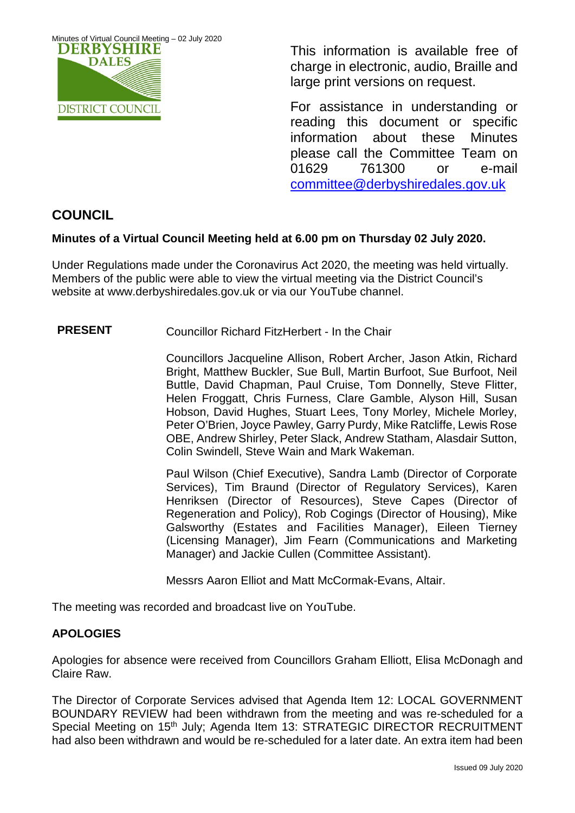

This information is available free of charge in electronic, audio, Braille and large print versions on request.

For assistance in understanding or reading this document or specific information about these Minutes please call the Committee Team on 01629 761300 or e-mail [committee@derbyshiredales.gov.uk](mailto:brian.evans@derbyshiredales.gov.uk) 

# **COUNCIL**

## **Minutes of a Virtual Council Meeting held at 6.00 pm on Thursday 02 July 2020.**

Under Regulations made under the Coronavirus Act 2020, the meeting was held virtually. Members of the public were able to view the virtual meeting via the District Council's website at [www.derbyshiredales.gov.uk](http://www.derbyshiredales.gov.uk/) or via our YouTube channel.

### **PRESENT** Councillor Richard FitzHerbert - In the Chair

Councillors Jacqueline Allison, Robert Archer, Jason Atkin, Richard Bright, Matthew Buckler, Sue Bull, Martin Burfoot, Sue Burfoot, Neil Buttle, David Chapman, Paul Cruise, Tom Donnelly, Steve Flitter, Helen Froggatt, Chris Furness, Clare Gamble, Alyson Hill, Susan Hobson, David Hughes, Stuart Lees, Tony Morley, Michele Morley, Peter O'Brien, Joyce Pawley, Garry Purdy, Mike Ratcliffe, Lewis Rose OBE, Andrew Shirley, Peter Slack, Andrew Statham, Alasdair Sutton, Colin Swindell, Steve Wain and Mark Wakeman.

Paul Wilson (Chief Executive), Sandra Lamb (Director of Corporate Services), Tim Braund (Director of Regulatory Services), Karen Henriksen (Director of Resources), Steve Capes (Director of Regeneration and Policy), Rob Cogings (Director of Housing), Mike Galsworthy (Estates and Facilities Manager), Eileen Tierney (Licensing Manager), Jim Fearn (Communications and Marketing Manager) and Jackie Cullen (Committee Assistant).

Messrs Aaron Elliot and Matt McCormak-Evans, Altair.

The meeting was recorded and broadcast live on YouTube.

### **APOLOGIES**

Apologies for absence were received from Councillors Graham Elliott, Elisa McDonagh and Claire Raw.

The Director of Corporate Services advised that Agenda Item 12: LOCAL GOVERNMENT BOUNDARY REVIEW had been withdrawn from the meeting and was re-scheduled for a Special Meeting on 15<sup>th</sup> July; Agenda Item 13: STRATEGIC DIRECTOR RECRUITMENT had also been withdrawn and would be re-scheduled for a later date. An extra item had been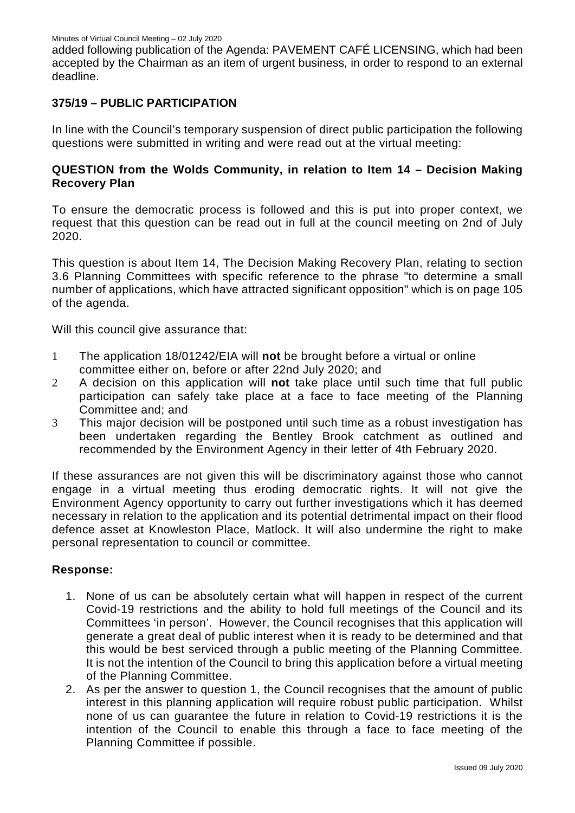added following publication of the Agenda: PAVEMENT CAFÉ LICENSING, which had been accepted by the Chairman as an item of urgent business, in order to respond to an external deadline.

#### **375/19 – PUBLIC PARTICIPATION**

In line with the Council's temporary suspension of direct public participation the following questions were submitted in writing and were read out at the virtual meeting:

### **QUESTION from the Wolds Community, in relation to Item 14 – Decision Making Recovery Plan**

To ensure the democratic process is followed and this is put into proper context, we request that this question can be read out in full at the council meeting on 2nd of July 2020.

This question is about Item 14, The Decision Making Recovery Plan, relating to section 3.6 Planning Committees with specific reference to the phrase "to determine a small number of applications, which have attracted significant opposition" which is on page 105 of the agenda.

Will this council give assurance that:

- 1 The application 18/01242/EIA will **not** be brought before a virtual or online committee either on, before or after 22nd July 2020; and
- 2 A decision on this application will **not** take place until such time that full public participation can safely take place at a face to face meeting of the Planning Committee and; and
- 3 This major decision will be postponed until such time as a robust investigation has been undertaken regarding the Bentley Brook catchment as outlined and recommended by the Environment Agency in their letter of 4th February 2020.

If these assurances are not given this will be discriminatory against those who cannot engage in a virtual meeting thus eroding democratic rights. It will not give the Environment Agency opportunity to carry out further investigations which it has deemed necessary in relation to the application and its potential detrimental impact on their flood defence asset at Knowleston Place, Matlock. It will also undermine the right to make personal representation to council or committee.

#### **Response:**

- 1. None of us can be absolutely certain what will happen in respect of the current Covid-19 restrictions and the ability to hold full meetings of the Council and its Committees 'in person'. However, the Council recognises that this application will generate a great deal of public interest when it is ready to be determined and that this would be best serviced through a public meeting of the Planning Committee. It is not the intention of the Council to bring this application before a virtual meeting of the Planning Committee.
- 2. As per the answer to question 1, the Council recognises that the amount of public interest in this planning application will require robust public participation. Whilst none of us can guarantee the future in relation to Covid-19 restrictions it is the intention of the Council to enable this through a face to face meeting of the Planning Committee if possible.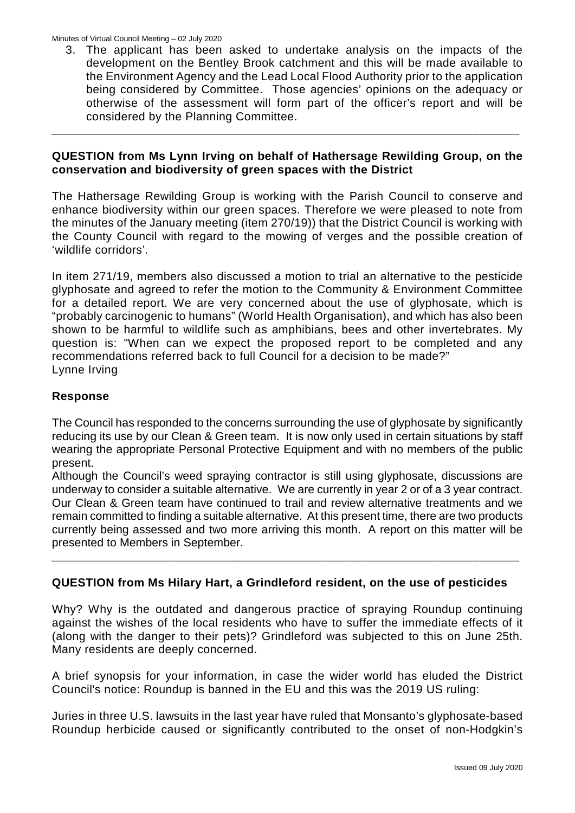3. The applicant has been asked to undertake analysis on the impacts of the development on the Bentley Brook catchment and this will be made available to the Environment Agency and the Lead Local Flood Authority prior to the application being considered by Committee. Those agencies' opinions on the adequacy or otherwise of the assessment will form part of the officer's report and will be considered by the Planning Committee.

#### **QUESTION from Ms Lynn Irving on behalf of Hathersage Rewilding Group, on the conservation and biodiversity of green spaces with the District**

*\_\_\_\_\_\_\_\_\_\_\_\_\_\_\_\_\_\_\_\_\_\_\_\_\_\_\_\_\_\_\_\_\_\_\_\_\_\_\_\_\_\_\_\_\_\_\_\_\_\_\_\_\_\_\_\_\_\_\_\_\_\_\_\_\_\_\_\_\_\_*

The Hathersage Rewilding Group is working with the Parish Council to conserve and enhance biodiversity within our green spaces. Therefore we were pleased to note from the minutes of the January meeting (item 270/19)) that the District Council is working with the County Council with regard to the mowing of verges and the possible creation of 'wildlife corridors'.

In item 271/19, members also discussed a motion to trial an alternative to the pesticide glyphosate and agreed to refer the motion to the Community & Environment Committee for a detailed report. We are very concerned about the use of glyphosate, which is "probably carcinogenic to humans" (World Health Organisation), and which has also been shown to be harmful to wildlife such as amphibians, bees and other invertebrates. My question is: "When can we expect the proposed report to be completed and any recommendations referred back to full Council for a decision to be made?" Lynne Irving

#### **Response**

The Council has responded to the concerns surrounding the use of glyphosate by significantly reducing its use by our Clean & Green team. It is now only used in certain situations by staff wearing the appropriate Personal Protective Equipment and with no members of the public present.

Although the Council's weed spraying contractor is still using glyphosate, discussions are underway to consider a suitable alternative. We are currently in year 2 or of a 3 year contract. Our Clean & Green team have continued to trail and review alternative treatments and we remain committed to finding a suitable alternative. At this present time, there are two products currently being assessed and two more arriving this month. A report on this matter will be presented to Members in September.

### **QUESTION from Ms Hilary Hart, a Grindleford resident, on the use of pesticides**

*\_\_\_\_\_\_\_\_\_\_\_\_\_\_\_\_\_\_\_\_\_\_\_\_\_\_\_\_\_\_\_\_\_\_\_\_\_\_\_\_\_\_\_\_\_\_\_\_\_\_\_\_\_\_\_\_\_\_\_\_\_\_\_\_\_\_\_\_\_\_*

Why? Why is the outdated and dangerous practice of spraying Roundup continuing against the wishes of the local residents who have to suffer the immediate effects of it (along with the danger to their pets)? Grindleford was subjected to this on June 25th. Many residents are deeply concerned.

A brief synopsis for your information, in case the wider world has eluded the District Council's notice: Roundup is banned in the EU and this was the 2019 US ruling:

Juries in three U.S. lawsuits in the last year have ruled that Monsanto's glyphosate-based Roundup herbicide caused or significantly contributed to the onset of non-Hodgkin's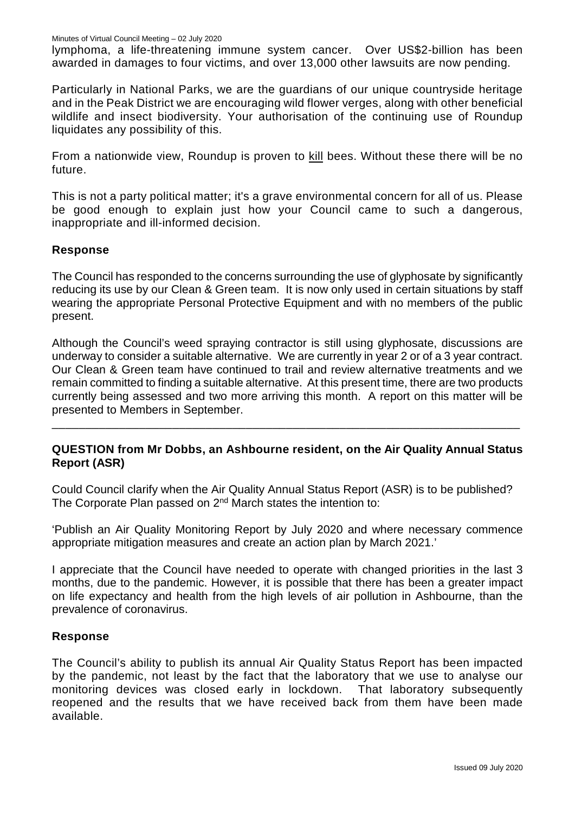lymphoma, a life-threatening immune system cancer. Over US\$2-billion has been awarded in damages to four victims, and over 13,000 other lawsuits are now pending.

Particularly in National Parks, we are the guardians of our unique countryside heritage and in the Peak District we are encouraging wild flower verges, along with other beneficial wildlife and insect biodiversity. Your authorisation of the continuing use of Roundup liquidates any possibility of this.

From a nationwide view, Roundup is proven to kill bees. Without these there will be no future.

This is not a party political matter; it's a grave environmental concern for all of us. Please be good enough to explain just how your Council came to such a dangerous, inappropriate and ill-informed decision.

### **Response**

The Council has responded to the concerns surrounding the use of glyphosate by significantly reducing its use by our Clean & Green team. It is now only used in certain situations by staff wearing the appropriate Personal Protective Equipment and with no members of the public present.

Although the Council's weed spraying contractor is still using glyphosate, discussions are underway to consider a suitable alternative. We are currently in year 2 or of a 3 year contract. Our Clean & Green team have continued to trail and review alternative treatments and we remain committed to finding a suitable alternative. At this present time, there are two products currently being assessed and two more arriving this month. A report on this matter will be presented to Members in September.

### **QUESTION from Mr Dobbs, an Ashbourne resident, on the Air Quality Annual Status Report (ASR)**

\_\_\_\_\_\_\_\_\_\_\_\_\_\_\_\_\_\_\_\_\_\_\_\_\_\_\_\_\_\_\_\_\_\_\_\_\_\_\_\_\_\_\_\_\_\_\_\_\_\_\_\_\_\_\_\_\_\_\_\_\_\_\_\_\_\_\_\_\_\_

Could Council clarify when the Air Quality Annual Status Report (ASR) is to be published? The Corporate Plan passed on 2<sup>nd</sup> March states the intention to:

'Publish an Air Quality Monitoring Report by July 2020 and where necessary commence appropriate mitigation measures and create an action plan by March 2021.'

I appreciate that the Council have needed to operate with changed priorities in the last 3 months, due to the pandemic. However, it is possible that there has been a greater impact on life expectancy and health from the high levels of air pollution in Ashbourne, than the prevalence of coronavirus.

### **Response**

The Council's ability to publish its annual Air Quality Status Report has been impacted by the pandemic, not least by the fact that the laboratory that we use to analyse our monitoring devices was closed early in lockdown. That laboratory subsequently reopened and the results that we have received back from them have been made available.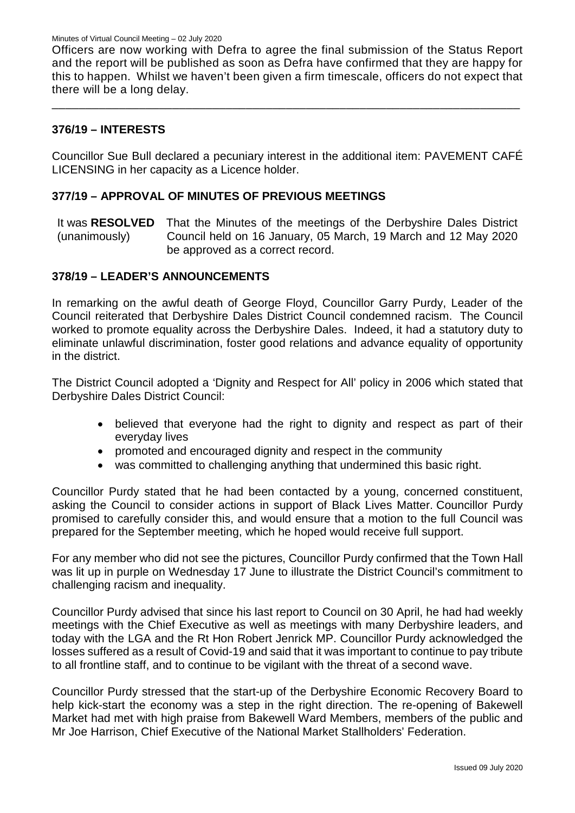Officers are now working with Defra to agree the final submission of the Status Report and the report will be published as soon as Defra have confirmed that they are happy for this to happen. Whilst we haven't been given a firm timescale, officers do not expect that there will be a long delay.

\_\_\_\_\_\_\_\_\_\_\_\_\_\_\_\_\_\_\_\_\_\_\_\_\_\_\_\_\_\_\_\_\_\_\_\_\_\_\_\_\_\_\_\_\_\_\_\_\_\_\_\_\_\_\_\_\_\_\_\_\_\_\_\_\_\_\_\_\_\_

#### **376/19 – INTERESTS**

Councillor Sue Bull declared a pecuniary interest in the additional item: PAVEMENT CAFÉ LICENSING in her capacity as a Licence holder.

#### **377/19 – APPROVAL OF MINUTES OF PREVIOUS MEETINGS**

It was **RESOLVED** (unanimously) That the Minutes of the meetings of the Derbyshire Dales District Council held on 16 January, 05 March, 19 March and 12 May 2020 be approved as a correct record.

#### **378/19 – LEADER'S ANNOUNCEMENTS**

In remarking on the awful death of George Floyd, Councillor Garry Purdy, Leader of the Council reiterated that Derbyshire Dales District Council condemned racism. The Council worked to promote equality across the Derbyshire Dales. Indeed, it had a statutory duty to eliminate unlawful discrimination, foster good relations and advance equality of opportunity in the district.

The District Council adopted a 'Dignity and Respect for All' policy in 2006 which stated that Derbyshire Dales District Council:

- believed that everyone had the right to dignity and respect as part of their everyday lives
- promoted and encouraged dignity and respect in the community
- was committed to challenging anything that undermined this basic right.

Councillor Purdy stated that he had been contacted by a young, concerned constituent, asking the Council to consider actions in support of Black Lives Matter. Councillor Purdy promised to carefully consider this, and would ensure that a motion to the full Council was prepared for the September meeting, which he hoped would receive full support.

For any member who did not see the pictures, Councillor Purdy confirmed that the Town Hall was lit up in purple on Wednesday 17 June to illustrate the District Council's commitment to challenging racism and inequality.

Councillor Purdy advised that since his last report to Council on 30 April, he had had weekly meetings with the Chief Executive as well as meetings with many Derbyshire leaders, and today with the LGA and the Rt Hon Robert Jenrick MP. Councillor Purdy acknowledged the losses suffered as a result of Covid-19 and said that it was important to continue to pay tribute to all frontline staff, and to continue to be vigilant with the threat of a second wave.

Councillor Purdy stressed that the start-up of the Derbyshire Economic Recovery Board to help kick-start the economy was a step in the right direction. The re-opening of Bakewell Market had met with high praise from Bakewell Ward Members, members of the public and Mr Joe Harrison, Chief Executive of the National Market Stallholders' Federation.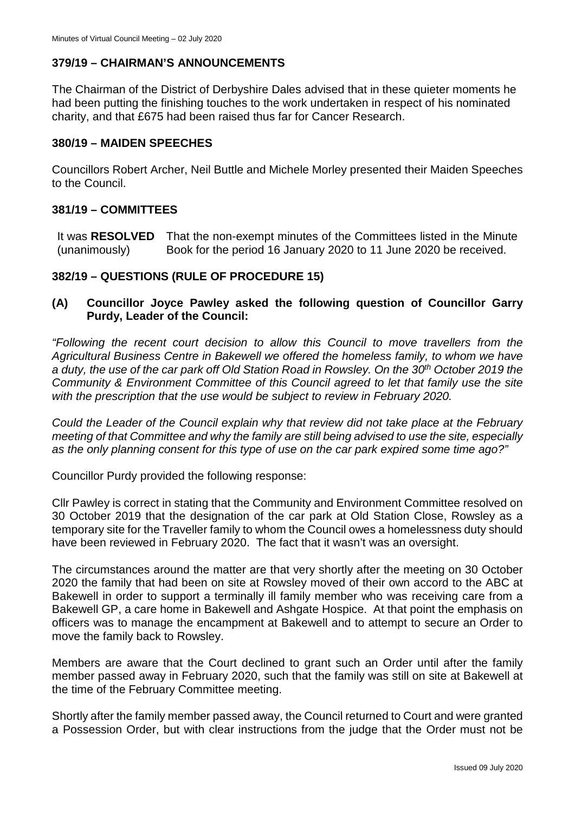## **379/19 – CHAIRMAN'S ANNOUNCEMENTS**

The Chairman of the District of Derbyshire Dales advised that in these quieter moments he had been putting the finishing touches to the work undertaken in respect of his nominated charity, and that £675 had been raised thus far for Cancer Research.

#### **380/19 – MAIDEN SPEECHES**

Councillors Robert Archer, Neil Buttle and Michele Morley presented their Maiden Speeches to the Council.

#### **381/19 – COMMITTEES**

It was **RESOLVED** (unanimously) That the non-exempt minutes of the Committees listed in the Minute Book for the period 16 January 2020 to 11 June 2020 be received.

### **382/19 – QUESTIONS (RULE OF PROCEDURE 15)**

### **(A) Councillor Joyce Pawley asked the following question of Councillor Garry Purdy, Leader of the Council:**

*"Following the recent court decision to allow this Council to move travellers from the Agricultural Business Centre in Bakewell we offered the homeless family, to whom we have a duty, the use of the car park off Old Station Road in Rowsley. On the 30th October 2019 the Community & Environment Committee of this Council agreed to let that family use the site with the prescription that the use would be subject to review in February 2020.*

*Could the Leader of the Council explain why that review did not take place at the February meeting of that Committee and why the family are still being advised to use the site, especially as the only planning consent for this type of use on the car park expired some time ago?"*

Councillor Purdy provided the following response:

Cllr Pawley is correct in stating that the Community and Environment Committee resolved on 30 October 2019 that the designation of the car park at Old Station Close, Rowsley as a temporary site for the Traveller family to whom the Council owes a homelessness duty should have been reviewed in February 2020. The fact that it wasn't was an oversight.

The circumstances around the matter are that very shortly after the meeting on 30 October 2020 the family that had been on site at Rowsley moved of their own accord to the ABC at Bakewell in order to support a terminally ill family member who was receiving care from a Bakewell GP, a care home in Bakewell and Ashgate Hospice. At that point the emphasis on officers was to manage the encampment at Bakewell and to attempt to secure an Order to move the family back to Rowsley.

Members are aware that the Court declined to grant such an Order until after the family member passed away in February 2020, such that the family was still on site at Bakewell at the time of the February Committee meeting.

Shortly after the family member passed away, the Council returned to Court and were granted a Possession Order, but with clear instructions from the judge that the Order must not be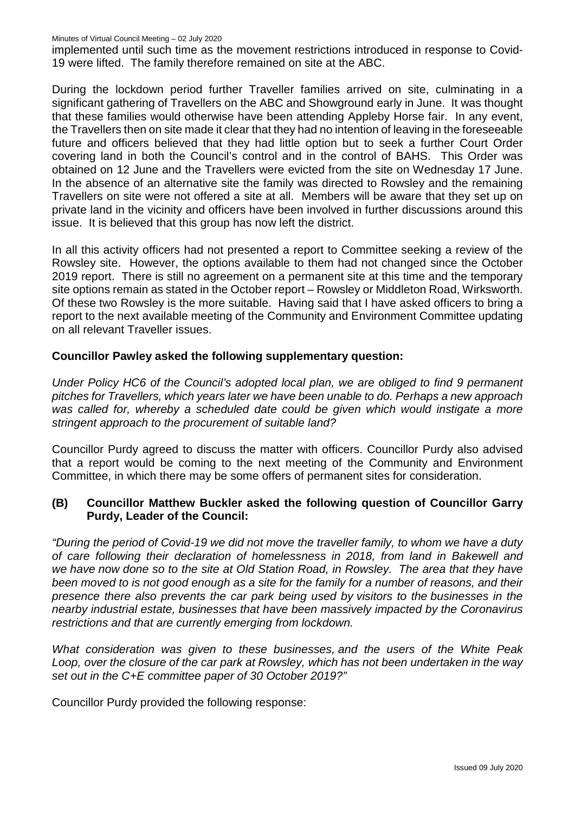implemented until such time as the movement restrictions introduced in response to Covid-19 were lifted. The family therefore remained on site at the ABC.

During the lockdown period further Traveller families arrived on site, culminating in a significant gathering of Travellers on the ABC and Showground early in June. It was thought that these families would otherwise have been attending Appleby Horse fair. In any event, the Travellers then on site made it clear that they had no intention of leaving in the foreseeable future and officers believed that they had little option but to seek a further Court Order covering land in both the Council's control and in the control of BAHS. This Order was obtained on 12 June and the Travellers were evicted from the site on Wednesday 17 June. In the absence of an alternative site the family was directed to Rowsley and the remaining Travellers on site were not offered a site at all. Members will be aware that they set up on private land in the vicinity and officers have been involved in further discussions around this issue. It is believed that this group has now left the district.

In all this activity officers had not presented a report to Committee seeking a review of the Rowsley site. However, the options available to them had not changed since the October 2019 report. There is still no agreement on a permanent site at this time and the temporary site options remain as stated in the October report – Rowsley or Middleton Road, Wirksworth. Of these two Rowsley is the more suitable. Having said that I have asked officers to bring a report to the next available meeting of the Community and Environment Committee updating on all relevant Traveller issues.

#### **Councillor Pawley asked the following supplementary question:**

*Under Policy HC6 of the Council's adopted local plan, we are obliged to find 9 permanent pitches for Travellers, which years later we have been unable to do. Perhaps a new approach was called for, whereby a scheduled date could be given which would instigate a more stringent approach to the procurement of suitable land?*

Councillor Purdy agreed to discuss the matter with officers. Councillor Purdy also advised that a report would be coming to the next meeting of the Community and Environment Committee, in which there may be some offers of permanent sites for consideration.

### **(B) Councillor Matthew Buckler asked the following question of Councillor Garry Purdy, Leader of the Council:**

*"During the period of Covid-19 we did not move the traveller family, to whom we have a duty of care following their declaration of homelessness in 2018, from land in Bakewell and we have now done so to the site at Old Station Road, in Rowsley. The area that they have been moved to is not good enough as a site for the family for a number of reasons, and their presence there also prevents the car park being used by visitors to the businesses in the nearby industrial estate, businesses that have been massively impacted by the Coronavirus restrictions and that are currently emerging from lockdown.*

*What consideration was given to these businesses, and the users of the White Peak Loop, over the closure of the car park at Rowsley, which has not been undertaken in the way set out in the C+E committee paper of 30 October 2019?"*

Councillor Purdy provided the following response: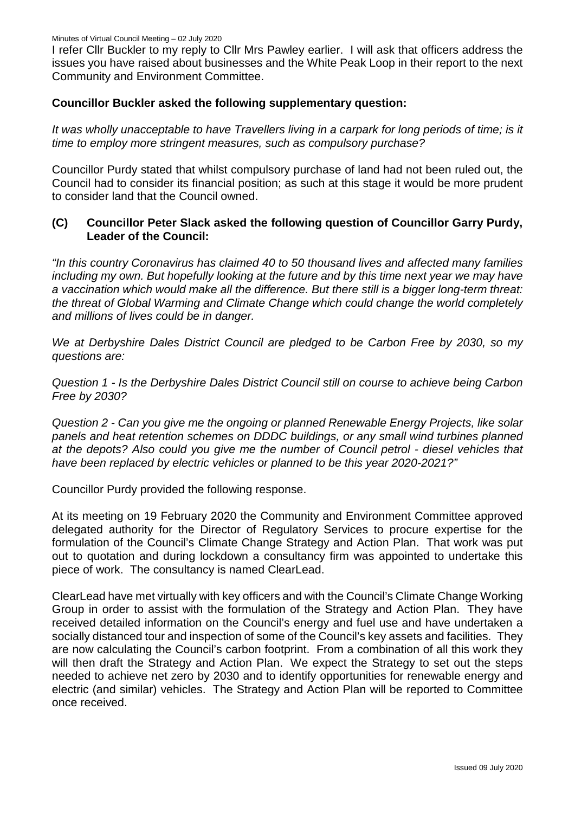I refer Cllr Buckler to my reply to Cllr Mrs Pawley earlier. I will ask that officers address the issues you have raised about businesses and the White Peak Loop in their report to the next Community and Environment Committee.

#### **Councillor Buckler asked the following supplementary question:**

*It was wholly unacceptable to have Travellers living in a carpark for long periods of time; is it time to employ more stringent measures, such as compulsory purchase?*

Councillor Purdy stated that whilst compulsory purchase of land had not been ruled out, the Council had to consider its financial position; as such at this stage it would be more prudent to consider land that the Council owned.

### **(C) Councillor Peter Slack asked the following question of Councillor Garry Purdy, Leader of the Council:**

*"In this country Coronavirus has claimed 40 to 50 thousand lives and affected many families including my own. But hopefully looking at the future and by this time next year we may have a vaccination which would make all the difference. But there still is a bigger long-term threat: the threat of Global Warming and Climate Change which could change the world completely and millions of lives could be in danger.*

*We at Derbyshire Dales District Council are pledged to be Carbon Free by 2030, so my questions are:*

*Question 1 - Is the Derbyshire Dales District Council still on course to achieve being Carbon Free by 2030?*

*Question 2 - Can you give me the ongoing or planned Renewable Energy Projects, like solar panels and heat retention schemes on DDDC buildings, or any small wind turbines planned at the depots? Also could you give me the number of Council petrol - diesel vehicles that have been replaced by electric vehicles or planned to be this year 2020-2021?"*

Councillor Purdy provided the following response.

At its meeting on 19 February 2020 the Community and Environment Committee approved delegated authority for the Director of Regulatory Services to procure expertise for the formulation of the Council's Climate Change Strategy and Action Plan. That work was put out to quotation and during lockdown a consultancy firm was appointed to undertake this piece of work. The consultancy is named ClearLead.

ClearLead have met virtually with key officers and with the Council's Climate Change Working Group in order to assist with the formulation of the Strategy and Action Plan. They have received detailed information on the Council's energy and fuel use and have undertaken a socially distanced tour and inspection of some of the Council's key assets and facilities. They are now calculating the Council's carbon footprint. From a combination of all this work they will then draft the Strategy and Action Plan. We expect the Strategy to set out the steps needed to achieve net zero by 2030 and to identify opportunities for renewable energy and electric (and similar) vehicles. The Strategy and Action Plan will be reported to Committee once received.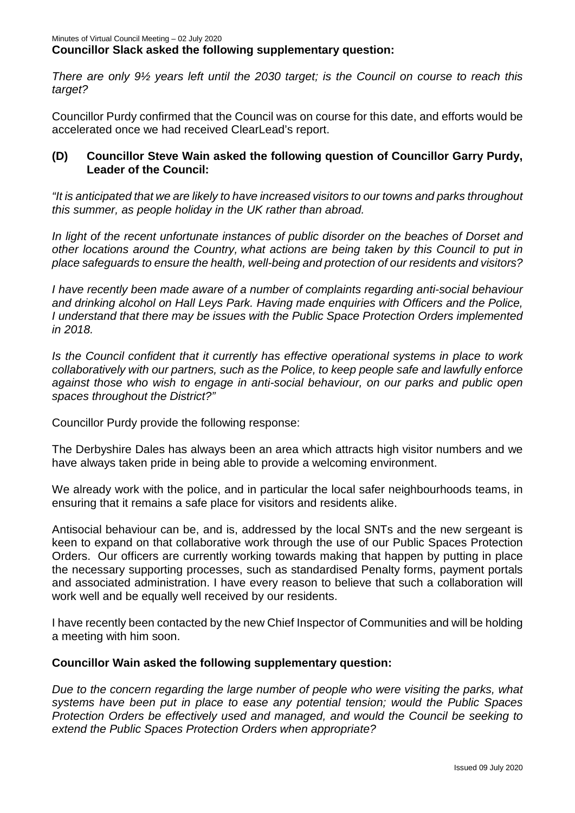*There are only 9½ years left until the 2030 target; is the Council on course to reach this target?*

Councillor Purdy confirmed that the Council was on course for this date, and efforts would be accelerated once we had received ClearLead's report.

### **(D) Councillor Steve Wain asked the following question of Councillor Garry Purdy, Leader of the Council:**

*"It is anticipated that we are likely to have increased visitors to our towns and parks throughout this summer, as people holiday in the UK rather than abroad.*

*In light of the recent unfortunate instances of public disorder on the beaches of Dorset and other locations around the Country, what actions are being taken by this Council to put in place safeguards to ensure the health, well-being and protection of our residents and visitors?*

*I have recently been made aware of a number of complaints regarding anti-social behaviour and drinking alcohol on Hall Leys Park. Having made enquiries with Officers and the Police, I understand that there may be issues with the Public Space Protection Orders implemented in 2018.*

*Is the Council confident that it currently has effective operational systems in place to work collaboratively with our partners, such as the Police, to keep people safe and lawfully enforce against those who wish to engage in anti-social behaviour, on our parks and public open spaces throughout the District?"*

Councillor Purdy provide the following response:

The Derbyshire Dales has always been an area which attracts high visitor numbers and we have always taken pride in being able to provide a welcoming environment.

We already work with the police, and in particular the local safer neighbourhoods teams, in ensuring that it remains a safe place for visitors and residents alike.

Antisocial behaviour can be, and is, addressed by the local SNTs and the new sergeant is keen to expand on that collaborative work through the use of our Public Spaces Protection Orders. Our officers are currently working towards making that happen by putting in place the necessary supporting processes, such as standardised Penalty forms, payment portals and associated administration. I have every reason to believe that such a collaboration will work well and be equally well received by our residents.

I have recently been contacted by the new Chief Inspector of Communities and will be holding a meeting with him soon.

### **Councillor Wain asked the following supplementary question:**

*Due to the concern regarding the large number of people who were visiting the parks, what systems have been put in place to ease any potential tension; would the Public Spaces Protection Orders be effectively used and managed, and would the Council be seeking to extend the Public Spaces Protection Orders when appropriate?*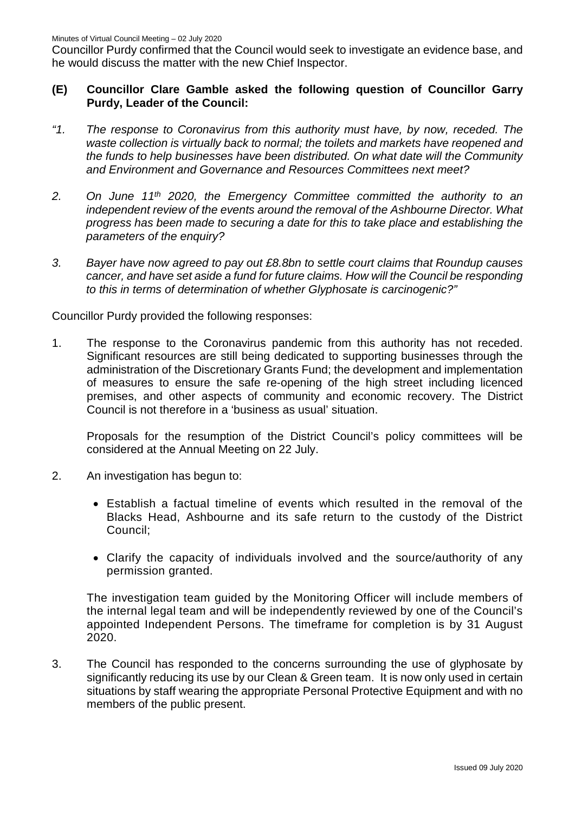Councillor Purdy confirmed that the Council would seek to investigate an evidence base, and he would discuss the matter with the new Chief Inspector.

#### **(E) Councillor Clare Gamble asked the following question of Councillor Garry Purdy, Leader of the Council:**

- *"1. The response to Coronavirus from this authority must have, by now, receded. The waste collection is virtually back to normal; the toilets and markets have reopened and the funds to help businesses have been distributed. On what date will the Community and Environment and Governance and Resources Committees next meet?*
- *2. On June 11th 2020, the Emergency Committee committed the authority to an independent review of the events around the removal of the Ashbourne Director. What progress has been made to securing a date for this to take place and establishing the parameters of the enquiry?*
- *3. Bayer have now agreed to pay out £8.8bn to settle court claims that Roundup causes cancer, and have set aside a fund for future claims. How will the Council be responding to this in terms of determination of whether Glyphosate is carcinogenic?"*

Councillor Purdy provided the following responses:

1. The response to the Coronavirus pandemic from this authority has not receded. Significant resources are still being dedicated to supporting businesses through the administration of the Discretionary Grants Fund; the development and implementation of measures to ensure the safe re-opening of the high street including licenced premises, and other aspects of community and economic recovery. The District Council is not therefore in a 'business as usual' situation.

Proposals for the resumption of the District Council's policy committees will be considered at the Annual Meeting on 22 July.

- 2. An investigation has begun to:
	- Establish a factual timeline of events which resulted in the removal of the Blacks Head, Ashbourne and its safe return to the custody of the District Council;
	- Clarify the capacity of individuals involved and the source/authority of any permission granted.

The investigation team guided by the Monitoring Officer will include members of the internal legal team and will be independently reviewed by one of the Council's appointed Independent Persons. The timeframe for completion is by 31 August 2020.

3. The Council has responded to the concerns surrounding the use of glyphosate by significantly reducing its use by our Clean & Green team. It is now only used in certain situations by staff wearing the appropriate Personal Protective Equipment and with no members of the public present.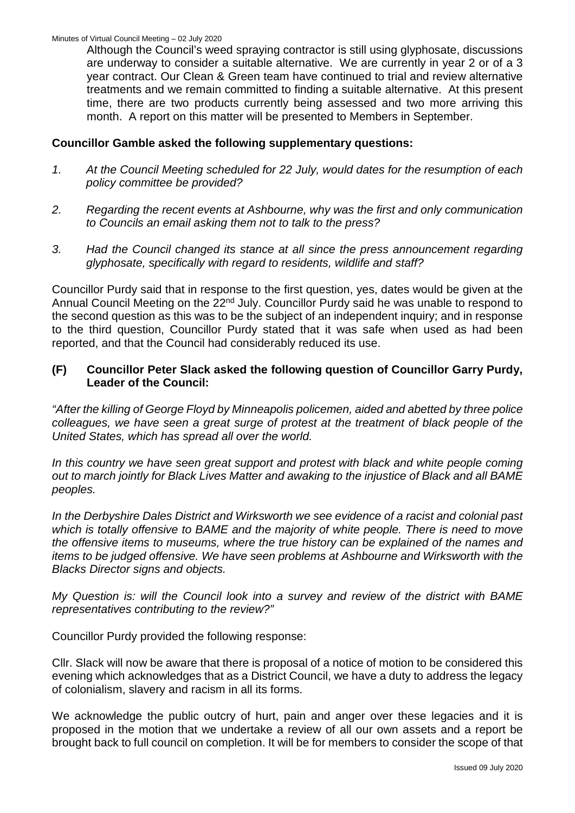Although the Council's weed spraying contractor is still using glyphosate, discussions are underway to consider a suitable alternative. We are currently in year 2 or of a 3 year contract. Our Clean & Green team have continued to trial and review alternative treatments and we remain committed to finding a suitable alternative. At this present time, there are two products currently being assessed and two more arriving this month. A report on this matter will be presented to Members in September.

#### **Councillor Gamble asked the following supplementary questions:**

- *1. At the Council Meeting scheduled for 22 July, would dates for the resumption of each policy committee be provided?*
- *2. Regarding the recent events at Ashbourne, why was the first and only communication to Councils an email asking them not to talk to the press?*
- *3. Had the Council changed its stance at all since the press announcement regarding glyphosate, specifically with regard to residents, wildlife and staff?*

Councillor Purdy said that in response to the first question, yes, dates would be given at the Annual Council Meeting on the 22<sup>nd</sup> July. Councillor Purdy said he was unable to respond to the second question as this was to be the subject of an independent inquiry; and in response to the third question, Councillor Purdy stated that it was safe when used as had been reported, and that the Council had considerably reduced its use.

#### **(F) Councillor Peter Slack asked the following question of Councillor Garry Purdy, Leader of the Council:**

*"After the killing of George Floyd by Minneapolis policemen, aided and abetted by three police colleagues, we have seen a great surge of protest at the treatment of black people of the United States, which has spread all over the world.*

*In this country we have seen great support and protest with black and white people coming out to march jointly for Black Lives Matter and awaking to the injustice of Black and all BAME peoples.*

*In the Derbyshire Dales District and Wirksworth we see evidence of a racist and colonial past which is totally offensive to BAME and the majority of white people. There is need to move the offensive items to museums, where the true history can be explained of the names and items to be judged offensive. We have seen problems at Ashbourne and Wirksworth with the Blacks Director signs and objects.*

*My Question is: will the Council look into a survey and review of the district with BAME representatives contributing to the review?"*

Councillor Purdy provided the following response:

Cllr. Slack will now be aware that there is proposal of a notice of motion to be considered this evening which acknowledges that as a District Council, we have a duty to address the legacy of colonialism, slavery and racism in all its forms.

We acknowledge the public outcry of hurt, pain and anger over these legacies and it is proposed in the motion that we undertake a review of all our own assets and a report be brought back to full council on completion. It will be for members to consider the scope of that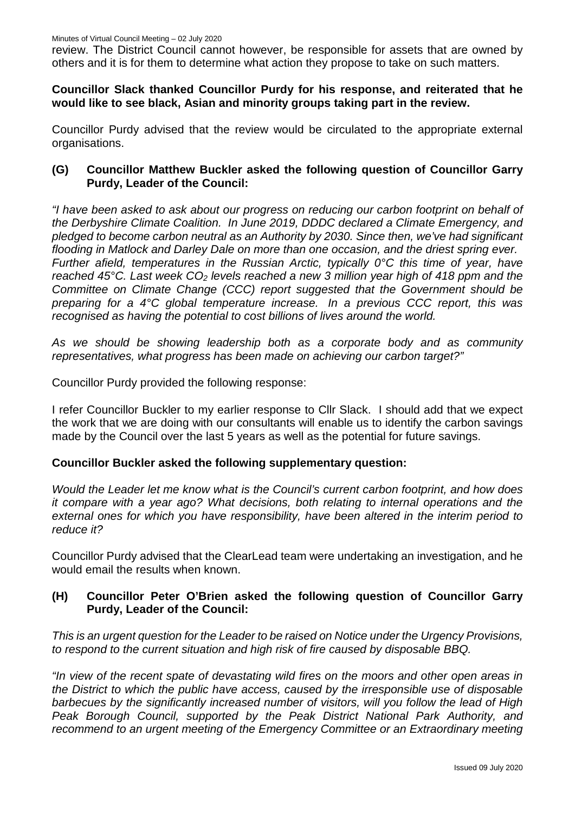review. The District Council cannot however, be responsible for assets that are owned by others and it is for them to determine what action they propose to take on such matters.

**Councillor Slack thanked Councillor Purdy for his response, and reiterated that he would like to see black, Asian and minority groups taking part in the review.** 

Councillor Purdy advised that the review would be circulated to the appropriate external organisations.

### **(G) Councillor Matthew Buckler asked the following question of Councillor Garry Purdy, Leader of the Council:**

*"I have been asked to ask about our progress on reducing our carbon footprint on behalf of the Derbyshire Climate Coalition. In June 2019, DDDC declared a Climate Emergency, and pledged to become carbon neutral as an Authority by 2030. Since then, we've had significant flooding in Matlock and Darley Dale on more than one occasion, and the driest spring ever. Further afield, temperatures in the Russian Arctic, typically 0°C this time of year, have reached 45°C. Last week CO<sub>2</sub> levels reached a new 3 million year high of 418 ppm and the Committee on Climate Change (CCC) report suggested that the Government should be preparing for a 4°C global temperature increase. In a previous CCC report, this was recognised as having the potential to cost billions of lives around the world.*

*As we should be showing leadership both as a corporate body and as community representatives, what progress has been made on achieving our carbon target?"*

Councillor Purdy provided the following response:

I refer Councillor Buckler to my earlier response to Cllr Slack. I should add that we expect the work that we are doing with our consultants will enable us to identify the carbon savings made by the Council over the last 5 years as well as the potential for future savings.

#### **Councillor Buckler asked the following supplementary question:**

*Would the Leader let me know what is the Council's current carbon footprint, and how does it compare with a year ago? What decisions, both relating to internal operations and the external ones for which you have responsibility, have been altered in the interim period to reduce it?*

Councillor Purdy advised that the ClearLead team were undertaking an investigation, and he would email the results when known.

### **(H) Councillor Peter O'Brien asked the following question of Councillor Garry Purdy, Leader of the Council:**

*This is an urgent question for the Leader to be raised on Notice under the Urgency Provisions, to respond to the current situation and high risk of fire caused by disposable BBQ.*

*"In view of the recent spate of devastating wild fires on the moors and other open areas in the District to which the public have access, caused by the irresponsible use of disposable barbecues by the significantly increased number of visitors, will you follow the lead of High Peak Borough Council, supported by the Peak District National Park Authority, and recommend to an urgent meeting of the Emergency Committee or an Extraordinary meeting*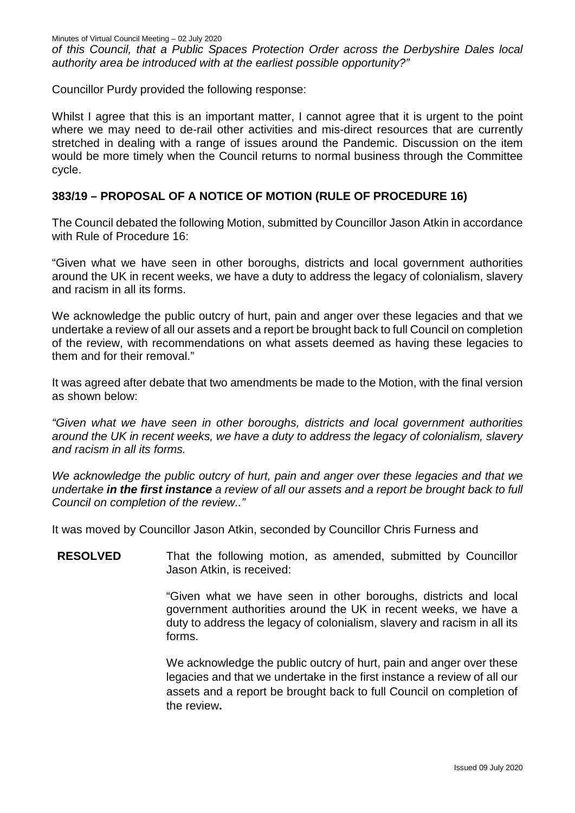*of this Council, that a Public Spaces Protection Order across the Derbyshire Dales local authority area be introduced with at the earliest possible opportunity?"*

Councillor Purdy provided the following response:

Whilst I agree that this is an important matter, I cannot agree that it is urgent to the point where we may need to de-rail other activities and mis-direct resources that are currently stretched in dealing with a range of issues around the Pandemic. Discussion on the item would be more timely when the Council returns to normal business through the Committee cycle.

### **383/19 – PROPOSAL OF A NOTICE OF MOTION (RULE OF PROCEDURE 16)**

The Council debated the following Motion, submitted by Councillor Jason Atkin in accordance with Rule of Procedure 16:

"Given what we have seen in other boroughs, districts and local government authorities around the UK in recent weeks, we have a duty to address the legacy of colonialism, slavery and racism in all its forms.

We acknowledge the public outcry of hurt, pain and anger over these legacies and that we undertake a review of all our assets and a report be brought back to full Council on completion of the review, with recommendations on what assets deemed as having these legacies to them and for their removal."

It was agreed after debate that two amendments be made to the Motion, with the final version as shown below:

*"Given what we have seen in other boroughs, districts and local government authorities around the UK in recent weeks, we have a duty to address the legacy of colonialism, slavery and racism in all its forms.*

*We acknowledge the public outcry of hurt, pain and anger over these legacies and that we undertake in the first instance a review of all our assets and a report be brought back to full Council on completion of the review.."*

It was moved by Councillor Jason Atkin, seconded by Councillor Chris Furness and

**RESOLVED** That the following motion, as amended, submitted by Councillor Jason Atkin, is received:

> "Given what we have seen in other boroughs, districts and local government authorities around the UK in recent weeks, we have a duty to address the legacy of colonialism, slavery and racism in all its forms.

> We acknowledge the public outcry of hurt, pain and anger over these legacies and that we undertake in the first instance a review of all our assets and a report be brought back to full Council on completion of the review**.**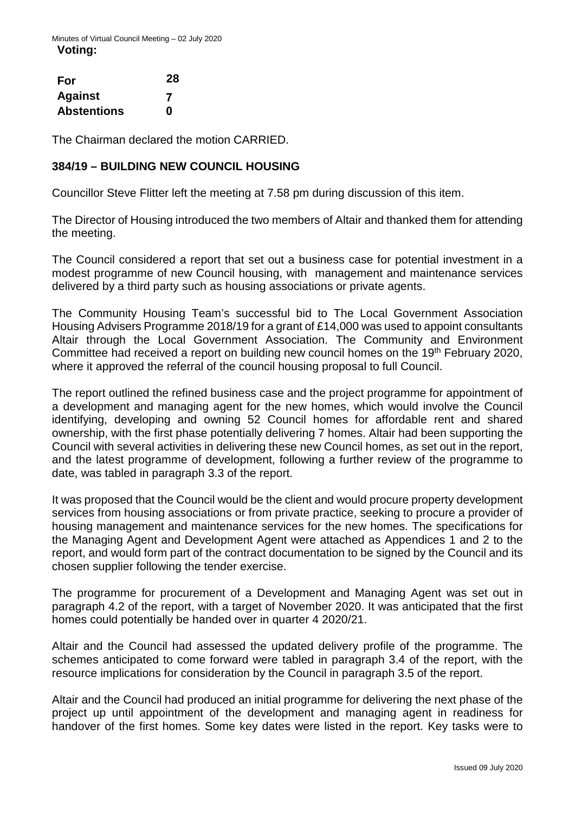| For                | 28 |
|--------------------|----|
| <b>Against</b>     | 7  |
| <b>Abstentions</b> | n  |

The Chairman declared the motion CARRIED.

### **384/19 – BUILDING NEW COUNCIL HOUSING**

Councillor Steve Flitter left the meeting at 7.58 pm during discussion of this item.

The Director of Housing introduced the two members of Altair and thanked them for attending the meeting.

The Council considered a report that set out a business case for potential investment in a modest programme of new Council housing, with management and maintenance services delivered by a third party such as housing associations or private agents.

The Community Housing Team's successful bid to The Local Government Association Housing Advisers Programme 2018/19 for a grant of £14,000 was used to appoint consultants Altair through the Local Government Association. The Community and Environment Committee had received a report on building new council homes on the 19<sup>th</sup> February 2020, where it approved the referral of the council housing proposal to full Council.

The report outlined the refined business case and the project programme for appointment of a development and managing agent for the new homes, which would involve the Council identifying, developing and owning 52 Council homes for affordable rent and shared ownership, with the first phase potentially delivering 7 homes. Altair had been supporting the Council with several activities in delivering these new Council homes, as set out in the report, and the latest programme of development, following a further review of the programme to date, was tabled in paragraph 3.3 of the report.

It was proposed that the Council would be the client and would procure property development services from housing associations or from private practice, seeking to procure a provider of housing management and maintenance services for the new homes. The specifications for the Managing Agent and Development Agent were attached as Appendices 1 and 2 to the report, and would form part of the contract documentation to be signed by the Council and its chosen supplier following the tender exercise.

The programme for procurement of a Development and Managing Agent was set out in paragraph 4.2 of the report, with a target of November 2020. It was anticipated that the first homes could potentially be handed over in quarter 4 2020/21.

Altair and the Council had assessed the updated delivery profile of the programme. The schemes anticipated to come forward were tabled in paragraph 3.4 of the report, with the resource implications for consideration by the Council in paragraph 3.5 of the report.

Altair and the Council had produced an initial programme for delivering the next phase of the project up until appointment of the development and managing agent in readiness for handover of the first homes. Some key dates were listed in the report. Key tasks were to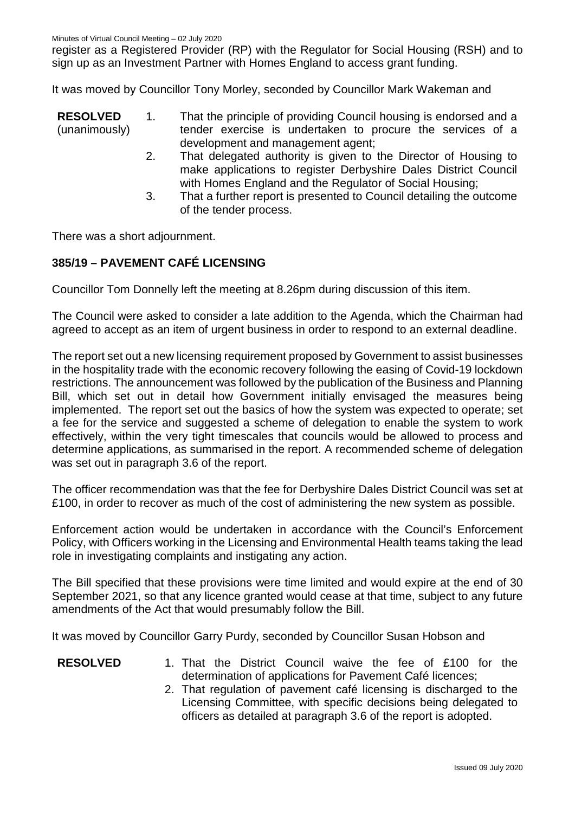register as a Registered Provider (RP) with the Regulator for Social Housing (RSH) and to sign up as an Investment Partner with Homes England to access grant funding.

It was moved by Councillor Tony Morley, seconded by Councillor Mark Wakeman and

**RESOLVED** (unanimously) 1. That the principle of providing Council housing is endorsed and a tender exercise is undertaken to procure the services of a development and management agent;

- 2. That delegated authority is given to the Director of Housing to make applications to register Derbyshire Dales District Council with Homes England and the Regulator of Social Housing;
- 3. That a further report is presented to Council detailing the outcome of the tender process.

There was a short adjournment.

#### **385/19 – PAVEMENT CAFÉ LICENSING**

Councillor Tom Donnelly left the meeting at 8.26pm during discussion of this item.

The Council were asked to consider a late addition to the Agenda, which the Chairman had agreed to accept as an item of urgent business in order to respond to an external deadline.

The report set out a new licensing requirement proposed by Government to assist businesses in the hospitality trade with the economic recovery following the easing of Covid-19 lockdown restrictions. The announcement was followed by the publication of the Business and Planning Bill, which set out in detail how Government initially envisaged the measures being implemented. The report set out the basics of how the system was expected to operate; set a fee for the service and suggested a scheme of delegation to enable the system to work effectively, within the very tight timescales that councils would be allowed to process and determine applications, as summarised in the report. A recommended scheme of delegation was set out in paragraph 3.6 of the report.

The officer recommendation was that the fee for Derbyshire Dales District Council was set at £100, in order to recover as much of the cost of administering the new system as possible.

Enforcement action would be undertaken in accordance with the Council's Enforcement Policy, with Officers working in the Licensing and Environmental Health teams taking the lead role in investigating complaints and instigating any action.

The Bill specified that these provisions were time limited and would expire at the end of 30 September 2021, so that any licence granted would cease at that time, subject to any future amendments of the Act that would presumably follow the Bill.

It was moved by Councillor Garry Purdy, seconded by Councillor Susan Hobson and

#### **RESOLVED** 1. That the District Council waive the fee of £100 for the determination of applications for Pavement Café licences;

2. That regulation of pavement café licensing is discharged to the Licensing Committee, with specific decisions being delegated to officers as detailed at paragraph 3.6 of the report is adopted.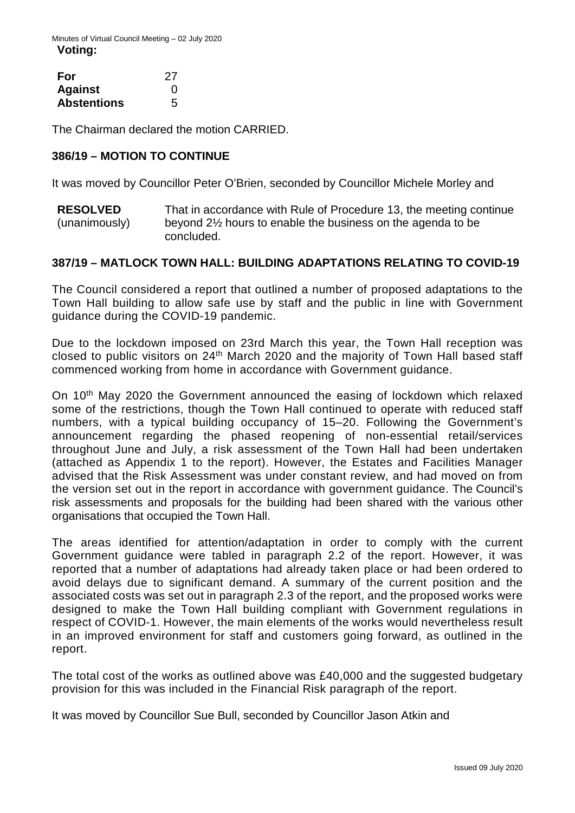| For                | -27 |
|--------------------|-----|
| <b>Against</b>     | O   |
| <b>Abstentions</b> | 5   |

The Chairman declared the motion CARRIED.

### **386/19 – MOTION TO CONTINUE**

It was moved by Councillor Peter O'Brien, seconded by Councillor Michele Morley and

**RESOLVED** (unanimously) That in accordance with Rule of Procedure 13, the meeting continue beyond 2½ hours to enable the business on the agenda to be concluded.

### **387/19 – MATLOCK TOWN HALL: BUILDING ADAPTATIONS RELATING TO COVID-19**

The Council considered a report that outlined a number of proposed adaptations to the Town Hall building to allow safe use by staff and the public in line with Government guidance during the COVID-19 pandemic.

Due to the lockdown imposed on 23rd March this year, the Town Hall reception was closed to public visitors on 24th March 2020 and the majority of Town Hall based staff commenced working from home in accordance with Government guidance.

On 10th May 2020 the Government announced the easing of lockdown which relaxed some of the restrictions, though the Town Hall continued to operate with reduced staff numbers, with a typical building occupancy of 15–20. Following the Government's announcement regarding the phased reopening of non-essential retail/services throughout June and July, a risk assessment of the Town Hall had been undertaken (attached as Appendix 1 to the report). However, the Estates and Facilities Manager advised that the Risk Assessment was under constant review, and had moved on from the version set out in the report in accordance with government guidance. The Council's risk assessments and proposals for the building had been shared with the various other organisations that occupied the Town Hall.

The areas identified for attention/adaptation in order to comply with the current Government guidance were tabled in paragraph 2.2 of the report. However, it was reported that a number of adaptations had already taken place or had been ordered to avoid delays due to significant demand. A summary of the current position and the associated costs was set out in paragraph 2.3 of the report, and the proposed works were designed to make the Town Hall building compliant with Government regulations in respect of COVID-1. However, the main elements of the works would nevertheless result in an improved environment for staff and customers going forward, as outlined in the report.

The total cost of the works as outlined above was £40,000 and the suggested budgetary provision for this was included in the Financial Risk paragraph of the report.

It was moved by Councillor Sue Bull, seconded by Councillor Jason Atkin and